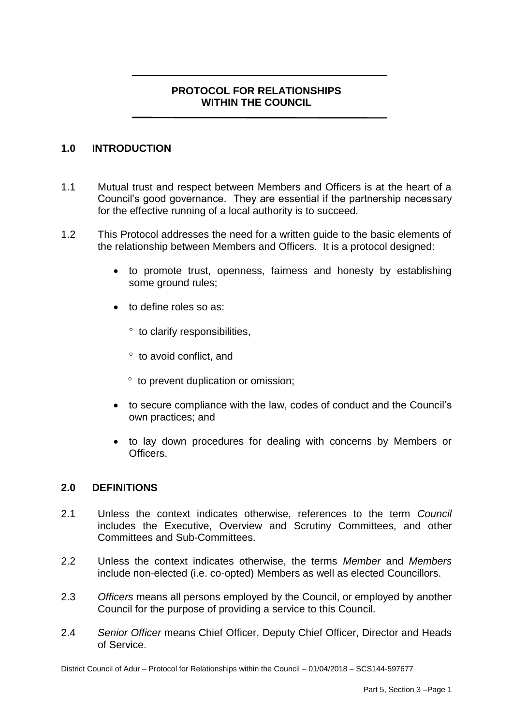# **PROTOCOL FOR RELATIONSHIPS WITHIN THE COUNCIL**

#### **1.0 INTRODUCTION**

- 1.1 Mutual trust and respect between Members and Officers is at the heart of a Council's good governance. They are essential if the partnership necessary for the effective running of a local authority is to succeed.
- 1.2 This Protocol addresses the need for a written guide to the basic elements of the relationship between Members and Officers. It is a protocol designed:
	- to promote trust, openness, fairness and honesty by establishing some ground rules:
	- to define roles so as:
		- ° to clarify responsibilities,
		- ° to avoid conflict, and
		- $\degree$  to prevent duplication or omission;
	- to secure compliance with the law, codes of conduct and the Council's own practices; and
	- to lay down procedures for dealing with concerns by Members or Officers.

#### **2.0 DEFINITIONS**

- 2.1 Unless the context indicates otherwise, references to the term *Council* includes the Executive, Overview and Scrutiny Committees, and other Committees and Sub-Committees.
- 2.2 Unless the context indicates otherwise, the terms *Member* and *Members* include non-elected (i.e. co-opted) Members as well as elected Councillors.
- 2.3 *Officers* means all persons employed by the Council, or employed by another Council for the purpose of providing a service to this Council.
- 2.4 *Senior Officer* means Chief Officer, Deputy Chief Officer, Director and Heads of Service.

District Council of Adur – Protocol for Relationships within the Council – 01/04/2018 – SCS144-597677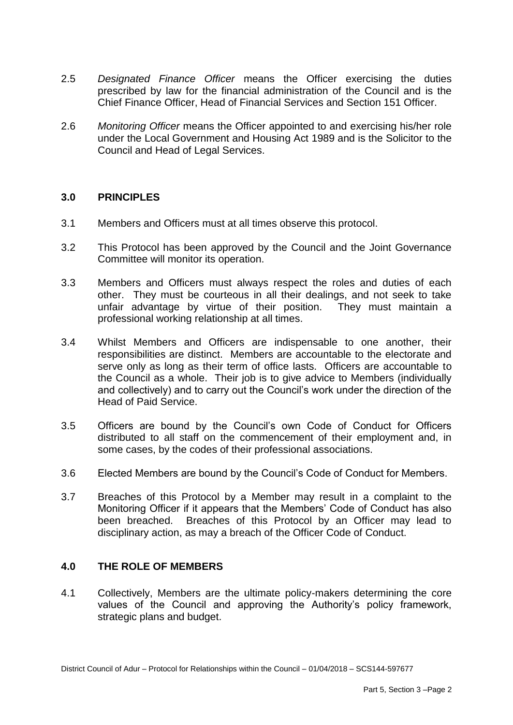- 2.5 *Designated Finance Officer* means the Officer exercising the duties prescribed by law for the financial administration of the Council and is the Chief Finance Officer, Head of Financial Services and Section 151 Officer.
- 2.6 *Monitoring Officer* means the Officer appointed to and exercising his/her role under the Local Government and Housing Act 1989 and is the Solicitor to the Council and Head of Legal Services.

#### **3.0 PRINCIPLES**

- 3.1 Members and Officers must at all times observe this protocol.
- 3.2 This Protocol has been approved by the Council and the Joint Governance Committee will monitor its operation.
- 3.3 Members and Officers must always respect the roles and duties of each other. They must be courteous in all their dealings, and not seek to take unfair advantage by virtue of their position. They must maintain a professional working relationship at all times.
- 3.4 Whilst Members and Officers are indispensable to one another, their responsibilities are distinct. Members are accountable to the electorate and serve only as long as their term of office lasts. Officers are accountable to the Council as a whole. Their job is to give advice to Members (individually and collectively) and to carry out the Council's work under the direction of the Head of Paid Service.
- 3.5 Officers are bound by the Council's own Code of Conduct for Officers distributed to all staff on the commencement of their employment and, in some cases, by the codes of their professional associations.
- 3.6 Elected Members are bound by the Council's Code of Conduct for Members.
- 3.7 Breaches of this Protocol by a Member may result in a complaint to the Monitoring Officer if it appears that the Members' Code of Conduct has also been breached. Breaches of this Protocol by an Officer may lead to disciplinary action, as may a breach of the Officer Code of Conduct.

#### **4.0 THE ROLE OF MEMBERS**

4.1 Collectively, Members are the ultimate policy-makers determining the core values of the Council and approving the Authority's policy framework, strategic plans and budget.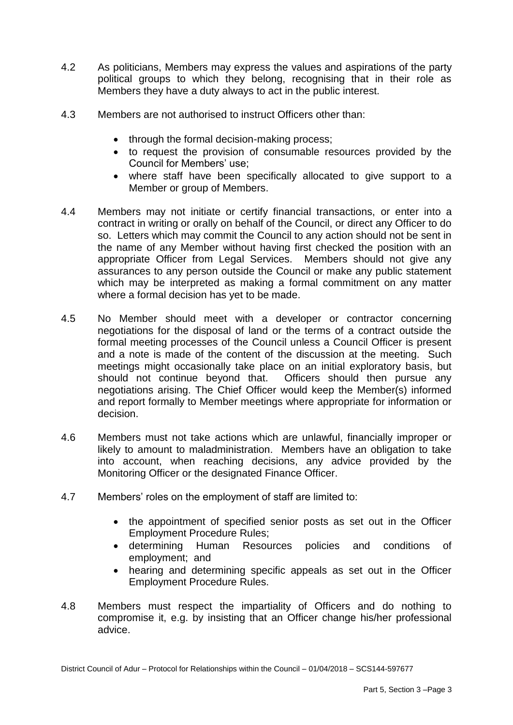- 4.2 As politicians, Members may express the values and aspirations of the party political groups to which they belong, recognising that in their role as Members they have a duty always to act in the public interest.
- 4.3 Members are not authorised to instruct Officers other than:
	- through the formal decision-making process;
	- to request the provision of consumable resources provided by the Council for Members' use;
	- where staff have been specifically allocated to give support to a Member or group of Members.
- 4.4 Members may not initiate or certify financial transactions, or enter into a contract in writing or orally on behalf of the Council, or direct any Officer to do so. Letters which may commit the Council to any action should not be sent in the name of any Member without having first checked the position with an appropriate Officer from Legal Services. Members should not give any assurances to any person outside the Council or make any public statement which may be interpreted as making a formal commitment on any matter where a formal decision has yet to be made.
- 4.5 No Member should meet with a developer or contractor concerning negotiations for the disposal of land or the terms of a contract outside the formal meeting processes of the Council unless a Council Officer is present and a note is made of the content of the discussion at the meeting. Such meetings might occasionally take place on an initial exploratory basis, but should not continue beyond that. Officers should then pursue any negotiations arising. The Chief Officer would keep the Member(s) informed and report formally to Member meetings where appropriate for information or decision.
- 4.6 Members must not take actions which are unlawful, financially improper or likely to amount to maladministration. Members have an obligation to take into account, when reaching decisions, any advice provided by the Monitoring Officer or the designated Finance Officer.
- 4.7 Members' roles on the employment of staff are limited to:
	- the appointment of specified senior posts as set out in the Officer Employment Procedure Rules;
	- determining Human Resources policies and conditions of employment; and
	- hearing and determining specific appeals as set out in the Officer Employment Procedure Rules.
- 4.8 Members must respect the impartiality of Officers and do nothing to compromise it, e.g. by insisting that an Officer change his/her professional advice.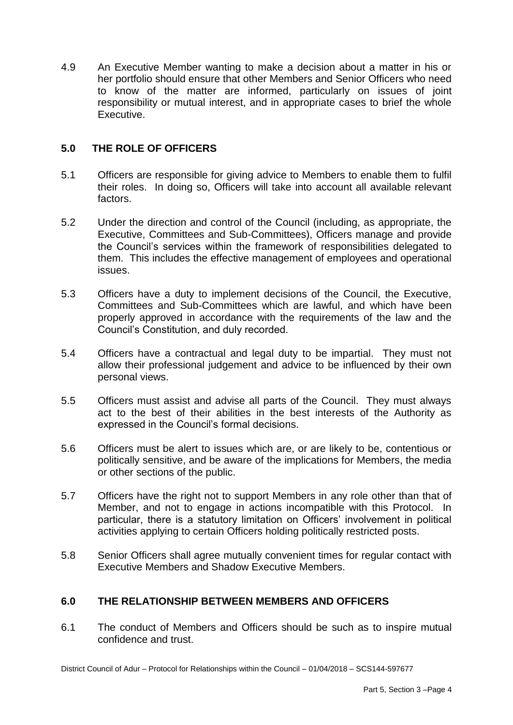4.9 An Executive Member wanting to make a decision about a matter in his or her portfolio should ensure that other Members and Senior Officers who need to know of the matter are informed, particularly on issues of joint responsibility or mutual interest, and in appropriate cases to brief the whole Executive.

#### **5.0 THE ROLE OF OFFICERS**

- 5.1 Officers are responsible for giving advice to Members to enable them to fulfil their roles. In doing so, Officers will take into account all available relevant factors.
- 5.2 Under the direction and control of the Council (including, as appropriate, the Executive, Committees and Sub-Committees), Officers manage and provide the Council's services within the framework of responsibilities delegated to them. This includes the effective management of employees and operational issues.
- 5.3 Officers have a duty to implement decisions of the Council, the Executive, Committees and Sub-Committees which are lawful, and which have been properly approved in accordance with the requirements of the law and the Council's Constitution, and duly recorded.
- 5.4 Officers have a contractual and legal duty to be impartial. They must not allow their professional judgement and advice to be influenced by their own personal views.
- 5.5 Officers must assist and advise all parts of the Council. They must always act to the best of their abilities in the best interests of the Authority as expressed in the Council's formal decisions.
- 5.6 Officers must be alert to issues which are, or are likely to be, contentious or politically sensitive, and be aware of the implications for Members, the media or other sections of the public.
- 5.7 Officers have the right not to support Members in any role other than that of Member, and not to engage in actions incompatible with this Protocol. In particular, there is a statutory limitation on Officers' involvement in political activities applying to certain Officers holding politically restricted posts.
- 5.8 Senior Officers shall agree mutually convenient times for regular contact with Executive Members and Shadow Executive Members.

#### **6.0 THE RELATIONSHIP BETWEEN MEMBERS AND OFFICERS**

6.1 The conduct of Members and Officers should be such as to inspire mutual confidence and trust.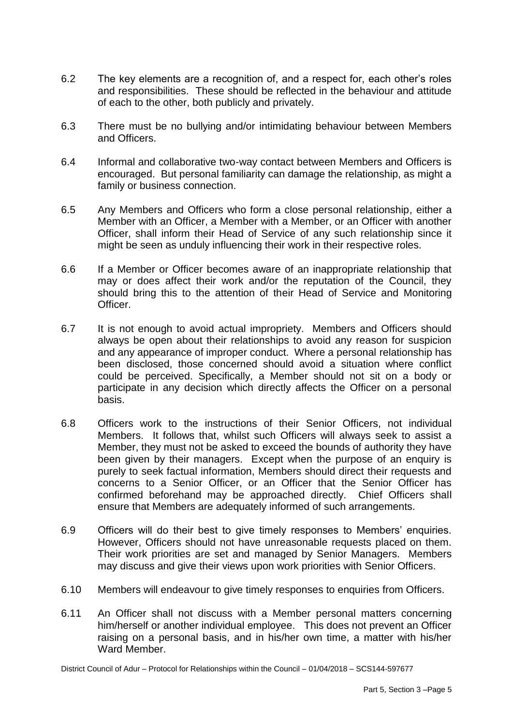- 6.2 The key elements are a recognition of, and a respect for, each other's roles and responsibilities. These should be reflected in the behaviour and attitude of each to the other, both publicly and privately.
- 6.3 There must be no bullying and/or intimidating behaviour between Members and Officers.
- 6.4 Informal and collaborative two-way contact between Members and Officers is encouraged. But personal familiarity can damage the relationship, as might a family or business connection.
- 6.5 Any Members and Officers who form a close personal relationship, either a Member with an Officer, a Member with a Member, or an Officer with another Officer, shall inform their Head of Service of any such relationship since it might be seen as unduly influencing their work in their respective roles.
- 6.6 If a Member or Officer becomes aware of an inappropriate relationship that may or does affect their work and/or the reputation of the Council, they should bring this to the attention of their Head of Service and Monitoring Officer.
- 6.7 It is not enough to avoid actual impropriety. Members and Officers should always be open about their relationships to avoid any reason for suspicion and any appearance of improper conduct. Where a personal relationship has been disclosed, those concerned should avoid a situation where conflict could be perceived. Specifically, a Member should not sit on a body or participate in any decision which directly affects the Officer on a personal basis.
- 6.8 Officers work to the instructions of their Senior Officers, not individual Members. It follows that, whilst such Officers will always seek to assist a Member, they must not be asked to exceed the bounds of authority they have been given by their managers. Except when the purpose of an enquiry is purely to seek factual information, Members should direct their requests and concerns to a Senior Officer, or an Officer that the Senior Officer has confirmed beforehand may be approached directly. Chief Officers shall ensure that Members are adequately informed of such arrangements.
- 6.9 Officers will do their best to give timely responses to Members' enquiries. However, Officers should not have unreasonable requests placed on them. Their work priorities are set and managed by Senior Managers. Members may discuss and give their views upon work priorities with Senior Officers.
- 6.10 Members will endeavour to give timely responses to enquiries from Officers.
- 6.11 An Officer shall not discuss with a Member personal matters concerning him/herself or another individual employee. This does not prevent an Officer raising on a personal basis, and in his/her own time, a matter with his/her Ward Member.

District Council of Adur – Protocol for Relationships within the Council – 01/04/2018 – SCS144-597677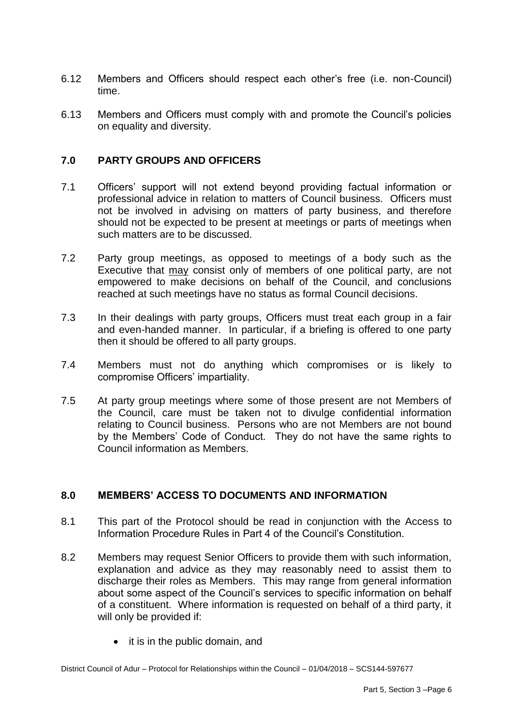- 6.12 Members and Officers should respect each other's free (i.e. non-Council) time.
- 6.13 Members and Officers must comply with and promote the Council's policies on equality and diversity.

## **7.0 PARTY GROUPS AND OFFICERS**

- 7.1 Officers' support will not extend beyond providing factual information or professional advice in relation to matters of Council business. Officers must not be involved in advising on matters of party business, and therefore should not be expected to be present at meetings or parts of meetings when such matters are to be discussed.
- 7.2 Party group meetings, as opposed to meetings of a body such as the Executive that may consist only of members of one political party, are not empowered to make decisions on behalf of the Council, and conclusions reached at such meetings have no status as formal Council decisions.
- 7.3 In their dealings with party groups, Officers must treat each group in a fair and even-handed manner. In particular, if a briefing is offered to one party then it should be offered to all party groups.
- 7.4 Members must not do anything which compromises or is likely to compromise Officers' impartiality.
- 7.5 At party group meetings where some of those present are not Members of the Council, care must be taken not to divulge confidential information relating to Council business. Persons who are not Members are not bound by the Members' Code of Conduct. They do not have the same rights to Council information as Members.

#### **8.0 MEMBERS' ACCESS TO DOCUMENTS AND INFORMATION**

- 8.1 This part of the Protocol should be read in conjunction with the Access to Information Procedure Rules in Part 4 of the Council's Constitution.
- 8.2 Members may request Senior Officers to provide them with such information, explanation and advice as they may reasonably need to assist them to discharge their roles as Members. This may range from general information about some aspect of the Council's services to specific information on behalf of a constituent. Where information is requested on behalf of a third party, it will only be provided if:
	- it is in the public domain, and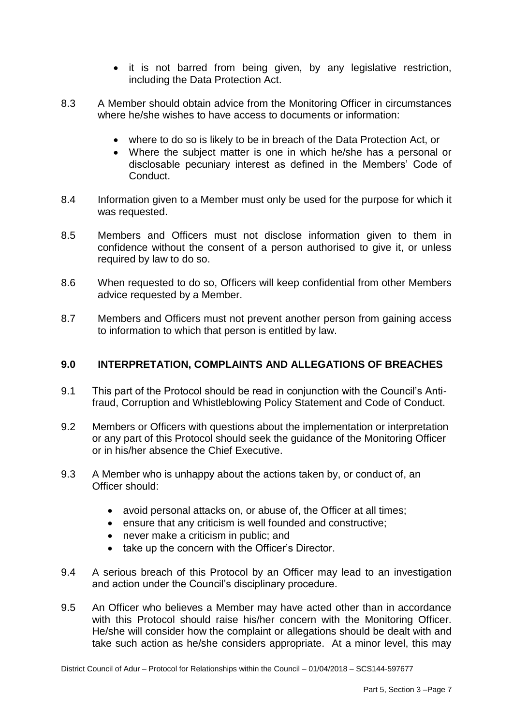- it is not barred from being given, by any legislative restriction, including the Data Protection Act.
- 8.3 A Member should obtain advice from the Monitoring Officer in circumstances where he/she wishes to have access to documents or information:
	- where to do so is likely to be in breach of the Data Protection Act, or
	- Where the subject matter is one in which he/she has a personal or disclosable pecuniary interest as defined in the Members' Code of Conduct.
- 8.4 Information given to a Member must only be used for the purpose for which it was requested.
- 8.5 Members and Officers must not disclose information given to them in confidence without the consent of a person authorised to give it, or unless required by law to do so.
- 8.6 When requested to do so, Officers will keep confidential from other Members advice requested by a Member.
- 8.7 Members and Officers must not prevent another person from gaining access to information to which that person is entitled by law.

## **9.0 INTERPRETATION, COMPLAINTS AND ALLEGATIONS OF BREACHES**

- 9.1 This part of the Protocol should be read in conjunction with the Council's Antifraud, Corruption and Whistleblowing Policy Statement and Code of Conduct.
- 9.2 Members or Officers with questions about the implementation or interpretation or any part of this Protocol should seek the guidance of the Monitoring Officer or in his/her absence the Chief Executive.
- 9.3 A Member who is unhappy about the actions taken by, or conduct of, an Officer should:
	- avoid personal attacks on, or abuse of, the Officer at all times;
	- ensure that any criticism is well founded and constructive;
	- never make a criticism in public: and
	- take up the concern with the Officer's Director.
- 9.4 A serious breach of this Protocol by an Officer may lead to an investigation and action under the Council's disciplinary procedure.
- 9.5 An Officer who believes a Member may have acted other than in accordance with this Protocol should raise his/her concern with the Monitoring Officer. He/she will consider how the complaint or allegations should be dealt with and take such action as he/she considers appropriate. At a minor level, this may